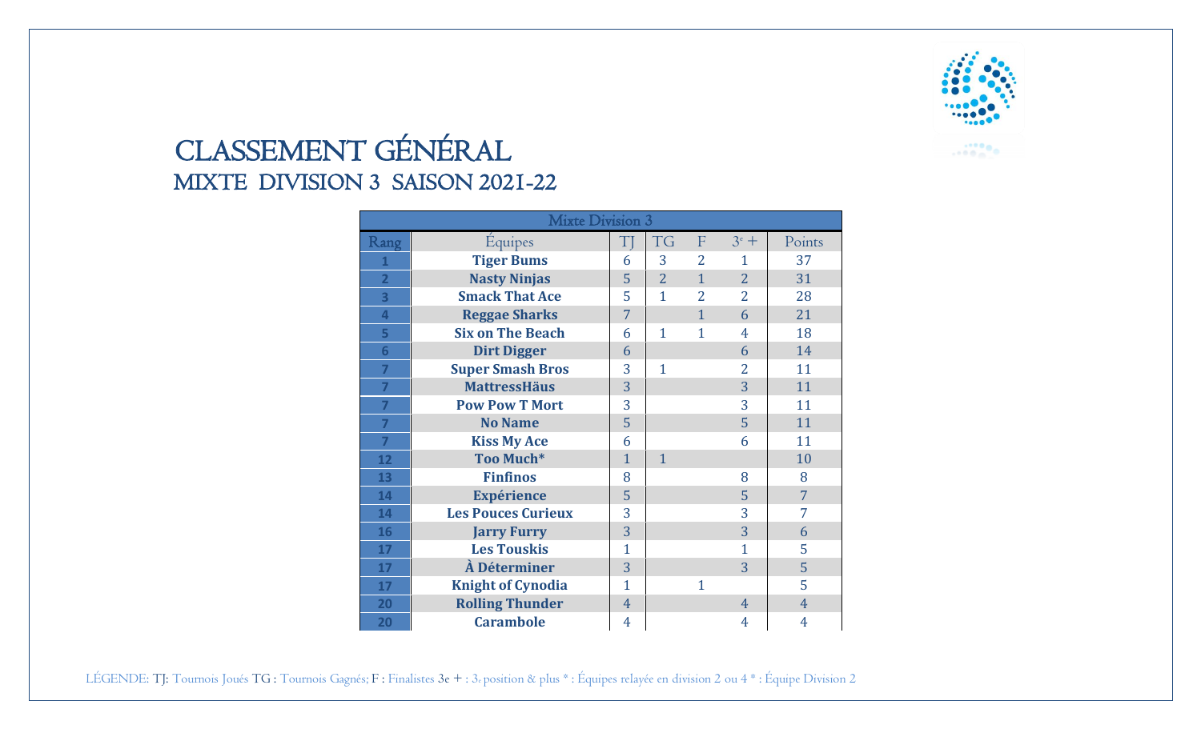

## CLASSEMENT GÉNÉRAL MIXTE DIVISION 3 SAISON 2021-22

| <b>Mixte Division 3</b> |                           |                |                |                |                |                |  |  |  |
|-------------------------|---------------------------|----------------|----------------|----------------|----------------|----------------|--|--|--|
| Rang                    | <b>Équipes</b>            | $\mathrm{T}$ ] | <b>TG</b>      | F              | $3^e$ +        | Points         |  |  |  |
| 1                       | <b>Tiger Bums</b>         | 6              | 3              | $\overline{2}$ | 1              | 37             |  |  |  |
| $\overline{2}$          | <b>Nasty Ninjas</b>       | 5              | $\overline{2}$ | $\overline{1}$ | $\overline{2}$ | 31             |  |  |  |
| 3                       | <b>Smack That Ace</b>     | 5              | $\mathbf{1}$   | $\overline{2}$ | $\overline{2}$ | 28             |  |  |  |
| 4                       | <b>Reggae Sharks</b>      | $\overline{7}$ |                | $\mathbf{1}$   | 6              | 21             |  |  |  |
| 5                       | <b>Six on The Beach</b>   | 6              | $\mathbf{1}$   | 1              | $\overline{4}$ | 18             |  |  |  |
| $6\overline{6}$         | <b>Dirt Digger</b>        | 6              |                |                | 6              | 14             |  |  |  |
| $\overline{7}$          | <b>Super Smash Bros</b>   | 3              | $\mathbf{1}$   |                | 2              | 11             |  |  |  |
| 7                       | <b>MattressHäus</b>       | 3              |                |                | 3              | 11             |  |  |  |
| 7                       | <b>Pow Pow T Mort</b>     | 3              |                |                | 3              | 11             |  |  |  |
| $\overline{7}$          | <b>No Name</b>            | 5              |                |                | 5              | 11             |  |  |  |
| 7                       | <b>Kiss My Ace</b>        | 6              |                |                | 6              | 11             |  |  |  |
| 12                      | Too Much*                 | $\mathbf{1}$   | $\mathbf{1}$   |                |                | 10             |  |  |  |
| 13                      | <b>Finfinos</b>           | 8              |                |                | 8              | 8              |  |  |  |
| 14                      | <b>Expérience</b>         | 5              |                |                | 5              | $\overline{7}$ |  |  |  |
| 14                      | <b>Les Pouces Curieux</b> | 3              |                |                | 3              | 7              |  |  |  |
| 16                      | <b>Jarry Furry</b>        | 3              |                |                | 3              | 6              |  |  |  |
| 17                      | <b>Les Touskis</b>        | $\mathbf{1}$   |                |                | $\mathbf{1}$   | 5              |  |  |  |
| 17                      | À Déterminer              | 3              |                |                | 3              | 5              |  |  |  |
| 17                      | <b>Knight of Cynodia</b>  | $\overline{1}$ |                | 1              |                | 5              |  |  |  |
| 20                      | <b>Rolling Thunder</b>    | $\overline{4}$ |                |                | $\overline{4}$ | 4              |  |  |  |
| 20                      | <b>Carambole</b>          | 4              |                |                | 4              | 4              |  |  |  |

LÉGENDE: TJ: Tournois Joués TG : Tournois Gagnés; F : Finalistes 3e + : 3e position & plus \* : Équipes relayée en division 2 ou 4 \* : Équipe Division 2